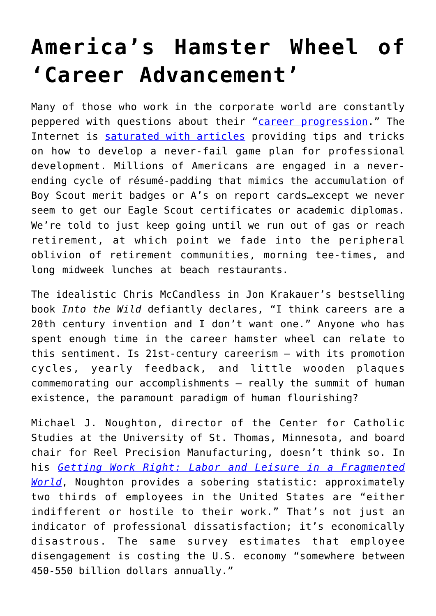## **[America's Hamster Wheel of](https://intellectualtakeout.org/2020/01/americas-hamster-wheel-of-career-advancement/) ['Career Advancement'](https://intellectualtakeout.org/2020/01/americas-hamster-wheel-of-career-advancement/)**

Many of those who work in the corporate world are constantly peppered with questions about their "[career progression.](https://www.pushfar.com/article/career-progression/)" The Internet is [saturated with articles](https://www.thebalancecareers.com/improving-career-development-4058289) providing tips and tricks on how to develop a never-fail game plan for professional development. Millions of Americans are engaged in a neverending cycle of résumé-padding that mimics the accumulation of Boy Scout merit badges or A's on report cards…except we never seem to get our Eagle Scout certificates or academic diplomas. We're told to just keep going until we run out of gas or reach retirement, at which point we fade into the peripheral oblivion of retirement communities, morning tee-times, and long midweek lunches at beach restaurants.

The idealistic Chris McCandless in Jon Krakauer's bestselling book *Into the Wild* defiantly declares, "I think careers are a 20th century invention and I don't want one." Anyone who has spent enough time in the career hamster wheel can relate to this sentiment. Is 21st-century careerism – with its promotion cycles, yearly feedback, and little wooden plaques commemorating our accomplishments – really the summit of human existence, the paramount paradigm of human flourishing?

Michael J. Noughton, director of the Center for Catholic Studies at the University of St. Thomas, Minnesota, and board chair for Reel Precision Manufacturing, doesn't think so. In his *[Getting Work Right: Labor and Leisure in a Fragmented](https://stpaulcenter.com/product/getting-work-right-labor-and-leisure-in-a-fragmented-world/) [World](https://stpaulcenter.com/product/getting-work-right-labor-and-leisure-in-a-fragmented-world/)*, Noughton provides a sobering statistic: approximately two thirds of employees in the United States are "either indifferent or hostile to their work." That's not just an indicator of professional dissatisfaction; it's economically disastrous. The same survey estimates that employee disengagement is costing the U.S. economy "somewhere between 450-550 billion dollars annually."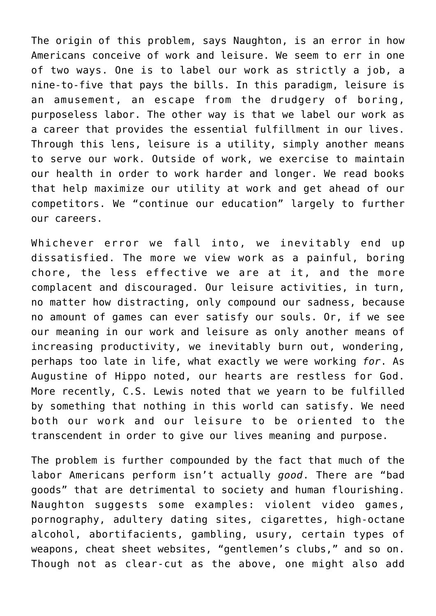The origin of this problem, says Naughton, is an error in how Americans conceive of work and leisure. We seem to err in one of two ways. One is to label our work as strictly a job, a nine-to-five that pays the bills. In this paradigm, leisure is an amusement, an escape from the drudgery of boring, purposeless labor. The other way is that we label our work as a career that provides the essential fulfillment in our lives. Through this lens, leisure is a utility, simply another means to serve our work. Outside of work, we exercise to maintain our health in order to work harder and longer. We read books that help maximize our utility at work and get ahead of our competitors. We "continue our education" largely to further our careers.

Whichever error we fall into, we inevitably end up dissatisfied. The more we view work as a painful, boring chore, the less effective we are at it, and the more complacent and discouraged. Our leisure activities, in turn, no matter how distracting, only compound our sadness, because no amount of games can ever satisfy our souls. Or, if we see our meaning in our work and leisure as only another means of increasing productivity, we inevitably burn out, wondering, perhaps too late in life, what exactly we were working *for*. As Augustine of Hippo noted, our hearts are restless for God. More recently, C.S. Lewis noted that we yearn to be fulfilled by something that nothing in this world can satisfy. We need both our work and our leisure to be oriented to the transcendent in order to give our lives meaning and purpose.

The problem is further compounded by the fact that much of the labor Americans perform isn't actually *good*. There are "bad goods" that are detrimental to society and human flourishing. Naughton suggests some examples: violent video games, pornography, adultery dating sites, cigarettes, high-octane alcohol, abortifacients, gambling, usury, certain types of weapons, cheat sheet websites, "gentlemen's clubs," and so on. Though not as clear-cut as the above, one might also add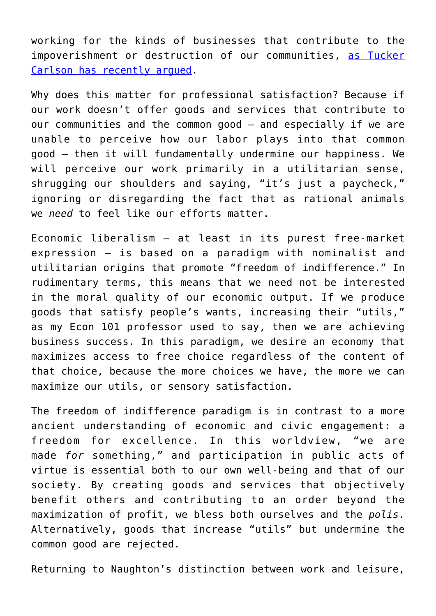working for the kinds of businesses that contribute to the impoverishment or destruction of our communities, [as Tucker](https://www.theamericanconservative.com/state-of-the-union/tucker-carlson-main-street-conservatism/) [Carlson has recently argued.](https://www.theamericanconservative.com/state-of-the-union/tucker-carlson-main-street-conservatism/)

Why does this matter for professional satisfaction? Because if our work doesn't offer goods and services that contribute to our communities and the common good – and especially if we are unable to perceive how our labor plays into that common good – then it will fundamentally undermine our happiness. We will perceive our work primarily in a utilitarian sense, shrugging our shoulders and saying, "it's just a paycheck," ignoring or disregarding the fact that as rational animals we *need* to feel like our efforts matter.

Economic liberalism – at least in its purest free-market expression – is based on a paradigm with nominalist and utilitarian origins that promote "freedom of indifference." In rudimentary terms, this means that we need not be interested in the moral quality of our economic output. If we produce goods that satisfy people's wants, increasing their "utils," as my Econ 101 professor used to say, then we are achieving business success. In this paradigm, we desire an economy that maximizes access to free choice regardless of the content of that choice, because the more choices we have, the more we can maximize our utils, or sensory satisfaction.

The freedom of indifference paradigm is in contrast to a more ancient understanding of economic and civic engagement: a freedom for excellence. In this worldview, "we are made *for* something," and participation in public acts of virtue is essential both to our own well-being and that of our society. By creating goods and services that objectively benefit others and contributing to an order beyond the maximization of profit, we bless both ourselves and the *polis*. Alternatively, goods that increase "utils" but undermine the common good are rejected.

Returning to Naughton's distinction between work and leisure,